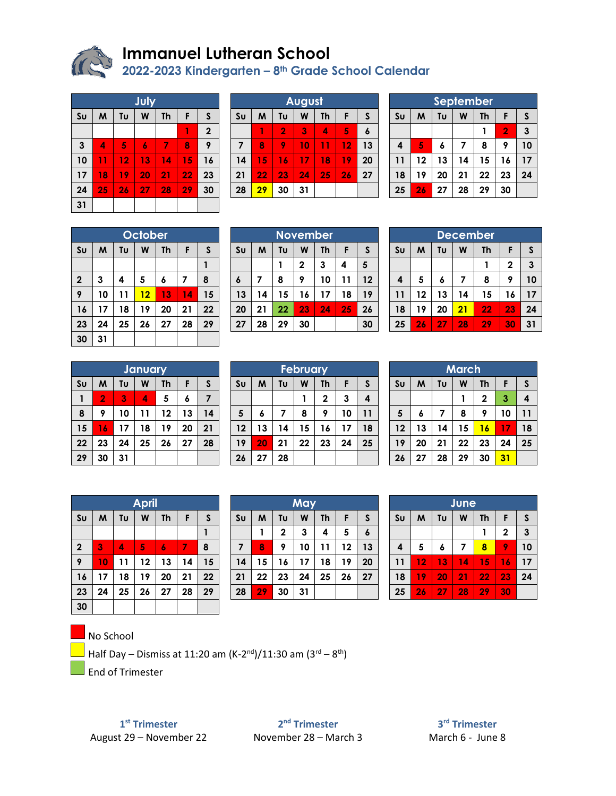

# **Immanuel Lutheran School**

**2022-2023 Kindergarten – 8th Grade School Calendar**

|                | July |    |    |           |    |                  |  |  |  |  |
|----------------|------|----|----|-----------|----|------------------|--|--|--|--|
| S <sub>U</sub> | M    | Tυ | W  | <b>Th</b> | F  | S                |  |  |  |  |
|                |      |    |    |           | 1  | $\boldsymbol{2}$ |  |  |  |  |
| $\mathbf{3}$   | 4    | 5  | 6  | 7         | 8  | 9                |  |  |  |  |
| 10             | 11   | 12 | 13 | 14        | 15 | 16               |  |  |  |  |
| 17             | 18   | 19 | 20 | 21        | 22 | 23               |  |  |  |  |
| 24             | 25   | 26 | 27 | 28        | 29 | 30               |  |  |  |  |
| 31             |      |    |    |           |    |                  |  |  |  |  |

| August |                                     |                |    |    |    |    |  |  |
|--------|-------------------------------------|----------------|----|----|----|----|--|--|
| Su     | Tυ<br>S<br>W<br><b>Th</b><br>F<br>M |                |    |    |    |    |  |  |
|        |                                     | $\overline{2}$ | 3  |    | 5  | 6  |  |  |
| 7      | 8                                   |                | 10 | 11 | 12 | 13 |  |  |
| 14     | 15                                  | 16             | 17 | 18 | 19 | 20 |  |  |
| 21     | 22                                  | 23             | 24 | 25 | 26 | 27 |  |  |
| 28     | 29                                  | 30             | 31 |    |    |    |  |  |

| September                                 |    |    |    |    |                |    |  |  |  |
|-------------------------------------------|----|----|----|----|----------------|----|--|--|--|
| Tυ<br>Su<br>W<br>S<br>M<br><b>Th</b><br>F |    |    |    |    |                |    |  |  |  |
|                                           |    |    |    |    | $\overline{2}$ | 3  |  |  |  |
| $\boldsymbol{4}$                          | 5  | 6  | 7  | 8  | 9              | 10 |  |  |  |
| 11                                        | 12 | 13 | 14 | 15 | 16             | 17 |  |  |  |
| 18                                        | 19 | 20 | 21 | 22 | 23             | 24 |  |  |  |
| 25                                        | 26 | 27 | 28 | 29 | 30             |    |  |  |  |

|                | October                 |    |    |    |    |    |  |  |  |
|----------------|-------------------------|----|----|----|----|----|--|--|--|
| S <sub>U</sub> | M<br>Tυ<br>W<br>F<br>Th |    |    |    |    |    |  |  |  |
|                |                         |    |    |    |    |    |  |  |  |
| $\mathbf 2$    | 3                       | 4  | 5  | 6  | 7  | 8  |  |  |  |
| 9              | 10                      | 11 | 12 | 13 | 14 | 15 |  |  |  |
| 16             | 17                      | 18 | 19 | 20 | 21 | 22 |  |  |  |
| 23             | 24                      | 25 | 26 | 27 | 28 | 29 |  |  |  |
| 30             | 31                      |    |    |    |    |    |  |  |  |

| <b>November</b> |                              |    |    |    |    |    |  |  |
|-----------------|------------------------------|----|----|----|----|----|--|--|
| S <sub>U</sub>  | M<br>Tυ<br>F<br>W<br>Th<br>S |    |    |    |    |    |  |  |
|                 |                              |    | 2  | 3  | 4  | 5  |  |  |
| 6               |                              | 8  | 9  | 10 | 11 | 12 |  |  |
| 13              | 14                           | 15 | 16 | 17 | 18 | 19 |  |  |
| 20              | 21                           | 22 | 23 | 24 | 25 | 26 |  |  |
| 27              | 28                           | 29 | 30 |    |    | 30 |  |  |

|                | <b>December</b>                         |    |    |    |                |    |  |  |  |  |
|----------------|-----------------------------------------|----|----|----|----------------|----|--|--|--|--|
| S <sub>U</sub> | Tυ<br>$\mathsf{s}$<br>W<br>M<br>F<br>Th |    |    |    |                |    |  |  |  |  |
|                |                                         |    |    |    | $\overline{2}$ | 3  |  |  |  |  |
| 4              | 5                                       | 6  | 7  | 8  | 9              | 10 |  |  |  |  |
| 11             | 12                                      | 13 | 14 | 15 | 16             | 17 |  |  |  |  |
| 18             | 19                                      | 20 | 21 | 22 | 23             | 24 |  |  |  |  |
| 25             | 26                                      | 27 | 28 | 29 | 30             | 31 |  |  |  |  |

|                                                                  | <b>January</b> |    |    |    |    |    |  |  |  |
|------------------------------------------------------------------|----------------|----|----|----|----|----|--|--|--|
| S <sub>U</sub><br>Tυ<br>$\mathsf{s}$<br>F<br>W<br>M<br><b>Th</b> |                |    |    |    |    |    |  |  |  |
|                                                                  | $\overline{2}$ | 3  | 4  | 5  | 6  |    |  |  |  |
| 8                                                                | 9              | 10 | 11 | 12 | 13 | 14 |  |  |  |
| 15                                                               | 16             | 17 | 18 | 19 | 20 | 21 |  |  |  |
| 22                                                               | 23             | 24 | 25 | 26 | 27 | 28 |  |  |  |
| 29                                                               | 30             | 31 |    |    |    |    |  |  |  |

|                | <b>February</b> |                           |    |              |    |    |  |  |  |
|----------------|-----------------|---------------------------|----|--------------|----|----|--|--|--|
| S <sub>U</sub> | M               | Tυ<br><b>Th</b><br>W<br>F |    |              |    |    |  |  |  |
|                |                 |                           |    | $\mathbf{2}$ | 3  | 4  |  |  |  |
| 5              | 6               |                           | 8  | 9            | 10 | 11 |  |  |  |
| 12             | 13              | 14                        | 15 | 16           | 17 | 18 |  |  |  |
| 19             | 20              | 21                        | 22 | 23           | 24 | 25 |  |  |  |
| 26             | 27              | 28                        |    |              |    |    |  |  |  |

|                | March                                          |    |    |             |    |    |  |  |  |  |
|----------------|------------------------------------------------|----|----|-------------|----|----|--|--|--|--|
| S <sub>U</sub> | <b>Th</b><br>$\mathsf{s}$<br>M<br>Tu<br>F<br>W |    |    |             |    |    |  |  |  |  |
|                |                                                |    |    | $\mathbf 2$ | 3  | 4  |  |  |  |  |
| $5\phantom{1}$ | 6                                              | 7  | 8  | 9           | 10 | 11 |  |  |  |  |
| 12             | 13                                             | 14 | 15 | 16          | 17 | 18 |  |  |  |  |
| 19             | 20                                             | 21 | 22 | 23          | 24 | 25 |  |  |  |  |
| 26             | 27                                             | 28 | 29 | 30          | 31 |    |  |  |  |  |

|                | <b>April</b> |                           |    |    |    |    |  |  |  |
|----------------|--------------|---------------------------|----|----|----|----|--|--|--|
| S <sub>U</sub> | M            | W<br>Tυ<br><b>Th</b><br>F |    |    |    |    |  |  |  |
|                |              |                           |    |    |    | 1  |  |  |  |
| $\mathbf 2$    | 3            | 4                         | 5  | 6  | 7  | 8  |  |  |  |
| 9              | 10           | 11                        | 12 | 13 | 14 | 15 |  |  |  |
| 16             | 17           | 18                        | 19 | 20 | 21 | 22 |  |  |  |
| 23             | 24           | 25                        | 26 | 27 | 28 | 29 |  |  |  |
| 30             |              |                           |    |    |    |    |  |  |  |

| May                                                   |    |    |    |    |    |  |  |  |
|-------------------------------------------------------|----|----|----|----|----|--|--|--|
| S <sub>U</sub><br>Tυ<br>W<br>S<br>M<br><b>Th</b><br>F |    |    |    |    |    |  |  |  |
|                                                       | 2  | 3  | 4  | 5  | 6  |  |  |  |
| 8                                                     | 9  | 10 | 11 | 12 | 13 |  |  |  |
| 15                                                    | 16 | 17 | 18 | 19 | 20 |  |  |  |
| 22                                                    | 23 | 24 | 25 | 26 | 27 |  |  |  |
| 29                                                    | 30 | 31 |    |    |    |  |  |  |
|                                                       |    |    |    |    |    |  |  |  |

| June           |    |                         |    |    |                |    |  |  |  |
|----------------|----|-------------------------|----|----|----------------|----|--|--|--|
| S <sub>U</sub> | M  | S<br>W<br>Tυ<br>F<br>Th |    |    |                |    |  |  |  |
|                |    |                         |    |    | $\overline{2}$ | 3  |  |  |  |
| 4              | 5  | 6                       | 7  | 8  | 9              | 10 |  |  |  |
| 11             | 12 | 13                      | 14 | 15 | 16             | 17 |  |  |  |
| 18             | 19 | 20                      | 21 | 22 | 23             | 24 |  |  |  |
| 25             | 26 | 27                      | 28 | 29 | 30             |    |  |  |  |

### No School

Half Day – Dismiss at 11:20 am (K-2<sup>nd</sup>)/11:30 am (3<sup>rd</sup> – 8<sup>th</sup>)

End of Trimester